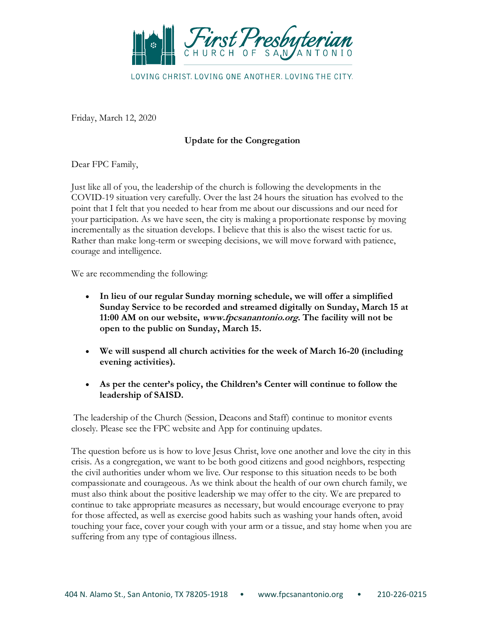

LOVING CHRIST. LOVING ONE ANOTHER. LOVING THE CITY.

Friday, March 12, 2020

## **Update for the Congregation**

Dear FPC Family,

Just like all of you, the leadership of the church is following the developments in the COVID-19 situation very carefully. Over the last 24 hours the situation has evolved to the point that I felt that you needed to hear from me about our discussions and our need for your participation. As we have seen, the city is making a proportionate response by moving incrementally as the situation develops. I believe that this is also the wisest tactic for us. Rather than make long-term or sweeping decisions, we will move forward with patience, courage and intelligence.

We are recommending the following:

- **In lieu of our regular Sunday morning schedule, we will offer a simplified Sunday Service to be recorded and streamed digitally on Sunday, March 15 at 11:00 AM on our website, [www.fpcsanantonio.org](https://www.fpcsanantonio.org/). The facility will not be open to the public on Sunday, March 15.**
- **We will suspend all church activities for the week of March 16-20 (including evening activities).**
- **As per the center's policy, the Children's Center will continue to follow the leadership of SAISD.**

The leadership of the Church (Session, Deacons and Staff) continue to monitor events closely. Please see the FPC website and App for continuing updates.

The question before us is how to love Jesus Christ, love one another and love the city in this crisis. As a congregation, we want to be both good citizens and good neighbors, respecting the civil authorities under whom we live. Our response to this situation needs to be both compassionate and courageous. As we think about the health of our own church family, we must also think about the positive leadership we may offer to the city. We are prepared to continue to take appropriate measures as necessary, but would encourage everyone to pray for those affected, as well as exercise good habits such as washing your hands often, avoid touching your face, cover your cough with your arm or a tissue, and stay home when you are suffering from any type of contagious illness.